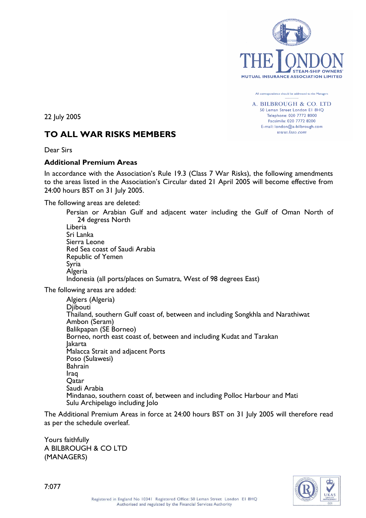

All correspondence should be addressed to the Managers

A. BILBROUGH & CO. LTD 50 Leman Street London El 8HQ Telephone: 020 7772 8000 Facsimile: 020 7772 8200 E-mail: london@a-bilbrough.com www.lsso.com

22 July 2005

# **TO ALL WAR RISKS MEMBERS**

Dear Sirs

# **Additional Premium Areas**

In accordance with the Association's Rule 19.3 (Class 7 War Risks), the following amendments to the areas listed in the Association's Circular dated 21 April 2005 will become effective from 24:00 hours BST on 31 July 2005.

The following areas are deleted:

Persian or Arabian Gulf and adjacent water including the Gulf of Oman North of 24 degress North Liberia Sri Lanka Sierra Leone Red Sea coast of Saudi Arabia Republic of Yemen Syria Algeria Indonesia (all ports/places on Sumatra, West of 98 degrees East)

The following areas are added:

Algiers (Algeria) **Diibouti** Thailand, southern Gulf coast of, between and including Songkhla and Narathiwat Ambon (Seram) Balikpapan (SE Borneo) Borneo, north east coast of, between and including Kudat and Tarakan Jakarta Malacca Strait and adjacent Ports Poso (Sulawesi) Bahrain Iraq Qatar Saudi Arabia Mindanao, southern coast of, between and including Polloc Harbour and Mati Sulu Archipelago including Jolo

The Additional Premium Areas in force at 24:00 hours BST on 31 July 2005 will therefore read as per the schedule overleaf.

Yours faithfully A BILBROUGH & CO LTD (MANAGERS)